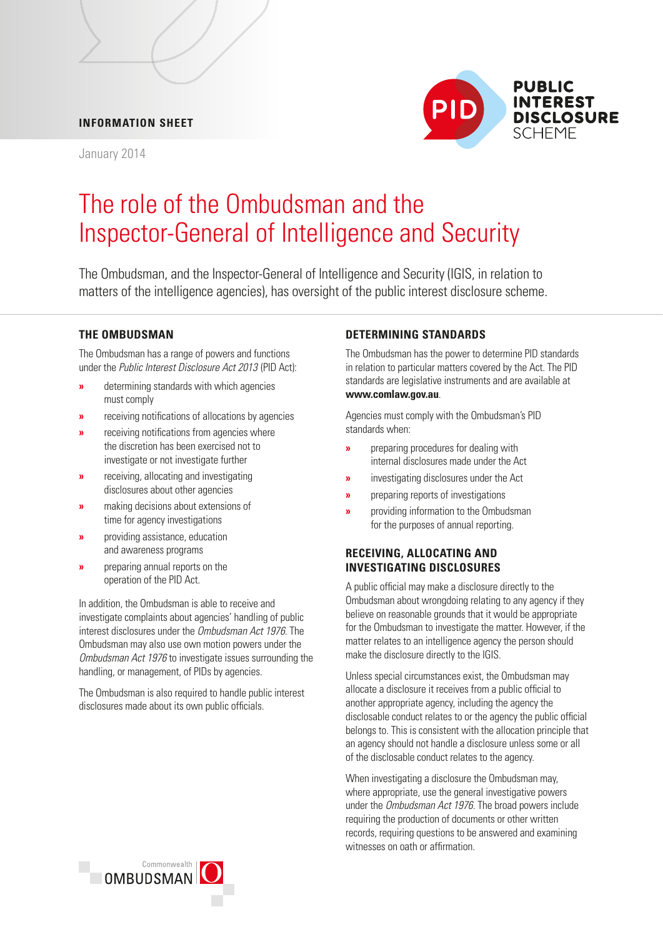## **INFORMATION SHEET**

January 2014



# The role of the Ombudsman and the Inspector-General of Intelligence and Security

The Ombudsman, and the Inspector-General of Intelligence and Security (IGIS, in relation to matters of the intelligence agencies), has oversight of the public interest disclosure scheme.

# **THE OMBUDSMAN**

The Ombudsman has a range of powers and functions under the *Public Interest Disclosure Act 2013* (PID Act):

- **»** determining standards with which agencies must comply
- **»** receiving notifications of allocations by agencies
- **»** receiving notifications from agencies where the discretion has been exercised not to investigate or not investigate further
- **»** receiving, allocating and investigating disclosures about other agencies
- **»** making decisions about extensions of time for agency investigations
- **»** providing assistance, education and awareness programs
- **»** *preparing annual reports on the* operation of the PID Act.

In addition, the Ombudsman is able to receive and investigate complaints about agencies' handling of public interest disclosures under the *Ombudsman Act 1976*. The Ombudsman may also use own motion powers under the *Ombudsman Act 1976* to investigate issues surrounding the handling, or management, of PIDs by agencies.

The Ombudsman is also required to handle public interest disclosures made about its own public officials.

# **DETERMINING STANDARDS**

The Ombudsman has the power to determine PID standards in relation to particular matters covered by the Act. The PID standards are legislative instruments and are available at **[www.comlaw.gov.au](http://www.comlaw.gov.au)**.

Agencies must comply with the Ombudsman's PID standards when:

- **»** preparing procedures for dealing with internal disclosures made under the Act
- **»** investigating disclosures under the Act
- **»** preparing reports of investigations
- **»** providing information to the Ombudsman for the purposes of annual reporting.

# **RECEIVING, ALLOCATING AND INVESTIGATING DISCLOSURES**

A public official may make a disclosure directly to the Ombudsman about wrongdoing relating to any agency if they believe on reasonable grounds that it would be appropriate for the Ombudsman to investigate the matter. However, if the matter relates to an intelligence agency the person should make the disclosure directly to the IGIS.

 allocate a disclosure it receives from a public official to disclosable conduct relates to or the agency the public official of the disclosable conduct relates to the agency. Unless special circumstances exist, the Ombudsman may another appropriate agency, including the agency the belongs to. This is consistent with the allocation principle that an agency should not handle a disclosure unless some or all

When investigating a disclosure the Ombudsman may, where appropriate, use the general investigative powers under the *Ombudsman Act 1976*. The broad powers include requiring the production of documents or other written records, requiring questions to be answered and examining witnesses on oath or affirmation.